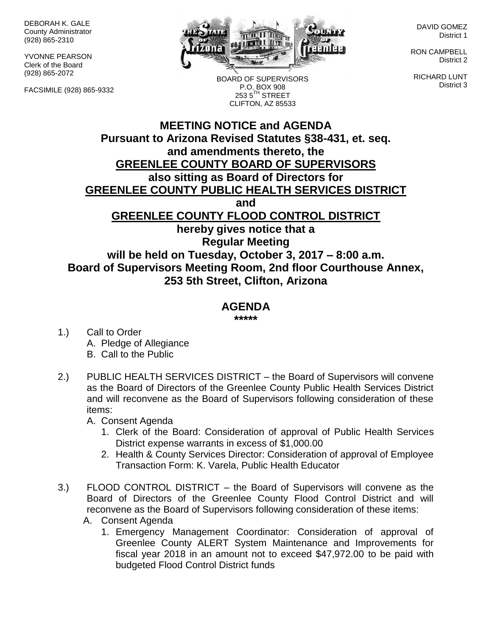DEBORAH K. GALE County Administrator (928) 865-2310

YVONNE PEARSON Clerk of the Board (928) 865-2072

FACSIMILE (928) 865-9332



BOARD OF SUPERVISORS P.O. BOX 908  $2535$ <sup>TH</sup> STREET CLIFTON, AZ 85533

DAVID GOMEZ District 1

RON CAMPBELL District 2

RICHARD LUNT District 3

## **MEETING NOTICE and AGENDA Pursuant to Arizona Revised Statutes §38-431, et. seq. and amendments thereto, the GREENLEE COUNTY BOARD OF SUPERVISORS also sitting as Board of Directors for GREENLEE COUNTY PUBLIC HEALTH SERVICES DISTRICT and GREENLEE COUNTY FLOOD CONTROL DISTRICT hereby gives notice that a Regular Meeting will be held on Tuesday, October 3, 2017 – 8:00 a.m. Board of Supervisors Meeting Room, 2nd floor Courthouse Annex, 253 5th Street, Clifton, Arizona**

## **AGENDA**

**\*\*\*\*\***

- 1.) Call to Order A. Pledge of Allegiance B. Call to the Public
- 2.) PUBLIC HEALTH SERVICES DISTRICT the Board of Supervisors will convene as the Board of Directors of the Greenlee County Public Health Services District and will reconvene as the Board of Supervisors following consideration of these items:
	- A. Consent Agenda
		- 1. Clerk of the Board: Consideration of approval of Public Health Services District expense warrants in excess of \$1,000.00
		- 2. Health & County Services Director: Consideration of approval of Employee Transaction Form: K. Varela, Public Health Educator
- 3.) FLOOD CONTROL DISTRICT the Board of Supervisors will convene as the Board of Directors of the Greenlee County Flood Control District and will reconvene as the Board of Supervisors following consideration of these items:
	- A. Consent Agenda
		- 1. Emergency Management Coordinator: Consideration of approval of Greenlee County ALERT System Maintenance and Improvements for fiscal year 2018 in an amount not to exceed \$47,972.00 to be paid with budgeted Flood Control District funds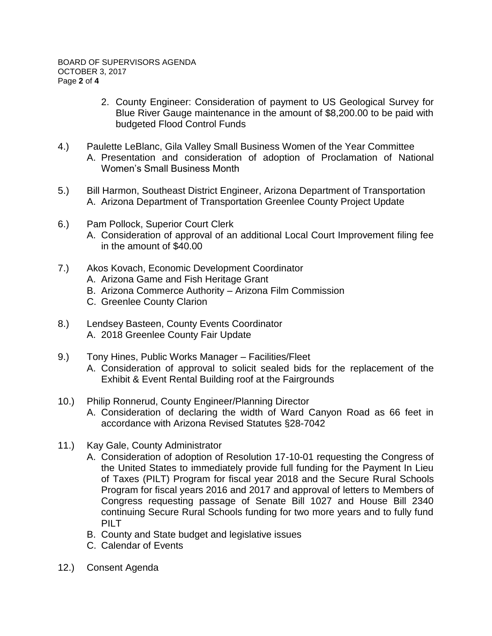- 2. County Engineer: Consideration of payment to US Geological Survey for Blue River Gauge maintenance in the amount of \$8,200.00 to be paid with budgeted Flood Control Funds
- 4.) Paulette LeBlanc, Gila Valley Small Business Women of the Year Committee A. Presentation and consideration of adoption of Proclamation of National Women's Small Business Month
- 5.) Bill Harmon, Southeast District Engineer, Arizona Department of Transportation A. Arizona Department of Transportation Greenlee County Project Update
- 6.) Pam Pollock, Superior Court Clerk
	- A. Consideration of approval of an additional Local Court Improvement filing fee in the amount of \$40.00
- 7.) Akos Kovach, Economic Development Coordinator
	- A. Arizona Game and Fish Heritage Grant
	- B. Arizona Commerce Authority Arizona Film Commission
	- C. Greenlee County Clarion
- 8.) Lendsey Basteen, County Events Coordinator A. 2018 Greenlee County Fair Update
- 9.) Tony Hines, Public Works Manager Facilities/Fleet A. Consideration of approval to solicit sealed bids for the replacement of the Exhibit & Event Rental Building roof at the Fairgrounds
- 10.) Philip Ronnerud, County Engineer/Planning Director
	- A. Consideration of declaring the width of Ward Canyon Road as 66 feet in accordance with Arizona Revised Statutes §28-7042
- 11.) Kay Gale, County Administrator
	- A. Consideration of adoption of Resolution 17-10-01 requesting the Congress of the United States to immediately provide full funding for the Payment In Lieu of Taxes (PILT) Program for fiscal year 2018 and the Secure Rural Schools Program for fiscal years 2016 and 2017 and approval of letters to Members of Congress requesting passage of Senate Bill 1027 and House Bill 2340 continuing Secure Rural Schools funding for two more years and to fully fund PILT.
	- B. County and State budget and legislative issues
	- C. Calendar of Events
- 12.) Consent Agenda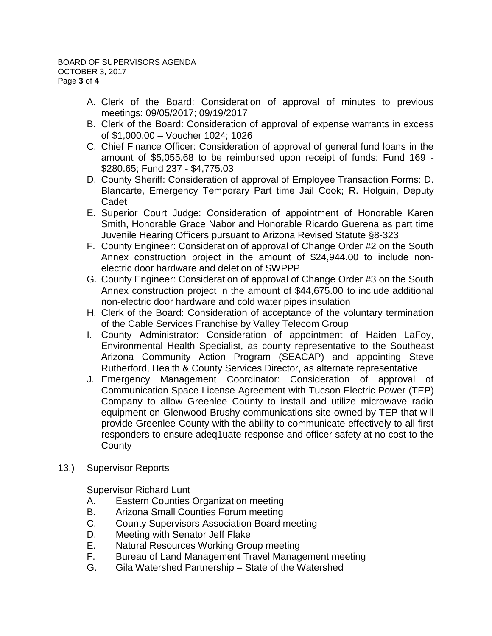- A. Clerk of the Board: Consideration of approval of minutes to previous meetings: 09/05/2017; 09/19/2017
- B. Clerk of the Board: Consideration of approval of expense warrants in excess of \$1,000.00 – Voucher 1024; 1026
- C. Chief Finance Officer: Consideration of approval of general fund loans in the amount of \$5,055.68 to be reimbursed upon receipt of funds: Fund 169 - \$280.65; Fund 237 - \$4,775.03
- D. County Sheriff: Consideration of approval of Employee Transaction Forms: D. Blancarte, Emergency Temporary Part time Jail Cook; R. Holguin, Deputy Cadet
- E. Superior Court Judge: Consideration of appointment of Honorable Karen Smith, Honorable Grace Nabor and Honorable Ricardo Guerena as part time Juvenile Hearing Officers pursuant to Arizona Revised Statute §8-323
- F. County Engineer: Consideration of approval of Change Order #2 on the South Annex construction project in the amount of \$24,944.00 to include nonelectric door hardware and deletion of SWPPP
- G. County Engineer: Consideration of approval of Change Order #3 on the South Annex construction project in the amount of \$44,675.00 to include additional non-electric door hardware and cold water pipes insulation
- H. Clerk of the Board: Consideration of acceptance of the voluntary termination of the Cable Services Franchise by Valley Telecom Group
- I. County Administrator: Consideration of appointment of Haiden LaFoy, Environmental Health Specialist, as county representative to the Southeast Arizona Community Action Program (SEACAP) and appointing Steve Rutherford, Health & County Services Director, as alternate representative
- J. Emergency Management Coordinator: Consideration of approval of Communication Space License Agreement with Tucson Electric Power (TEP) Company to allow Greenlee County to install and utilize microwave radio equipment on Glenwood Brushy communications site owned by TEP that will provide Greenlee County with the ability to communicate effectively to all first responders to ensure adeq1uate response and officer safety at no cost to the **County**
- 13.) Supervisor Reports

Supervisor Richard Lunt

- A. Eastern Counties Organization meeting
- B. Arizona Small Counties Forum meeting
- C. County Supervisors Association Board meeting
- D. Meeting with Senator Jeff Flake
- E. Natural Resources Working Group meeting
- F. Bureau of Land Management Travel Management meeting
- G. Gila Watershed Partnership State of the Watershed